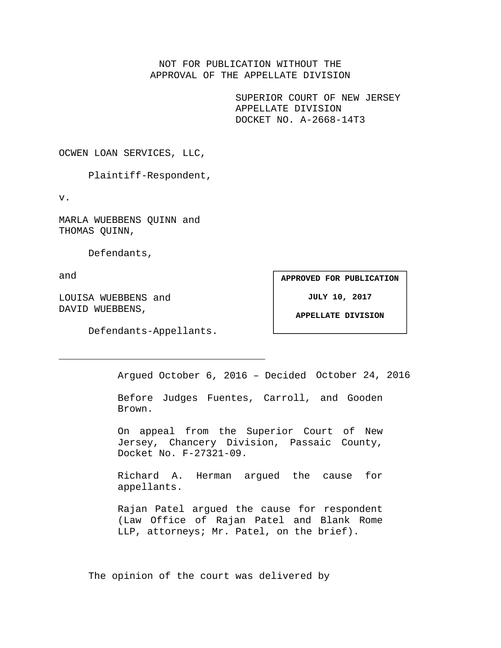NOT FOR PUBLICATION WITHOUT THE APPROVAL OF THE APPELLATE DIVISION

> SUPERIOR COURT OF NEW JERSEY APPELLATE DIVISION DOCKET NO. A-2668-14T3

OCWEN LOAN SERVICES, LLC,

Plaintiff-Respondent,

v.

MARLA WUEBBENS QUINN and THOMAS QUINN,

Defendants,

and

LOUISA WUEBBENS and DAVID WUEBBENS,

**APPROVED FOR PUBLICATION** 

**JULY 10, 2017** 

**APPELLATE DIVISION** 

Defendants-Appellants.

Argued October 6, 2016 – Decided October 24, 2016

Before Judges Fuentes, Carroll, and Gooden Brown.

On appeal from the Superior Court of New Jersey, Chancery Division, Passaic County, Docket No. F-27321-09.

Richard A. Herman argued the cause for appellants.

Rajan Patel argued the cause for respondent (Law Office of Rajan Patel and Blank Rome LLP, attorneys; Mr. Patel, on the brief).

The opinion of the court was delivered by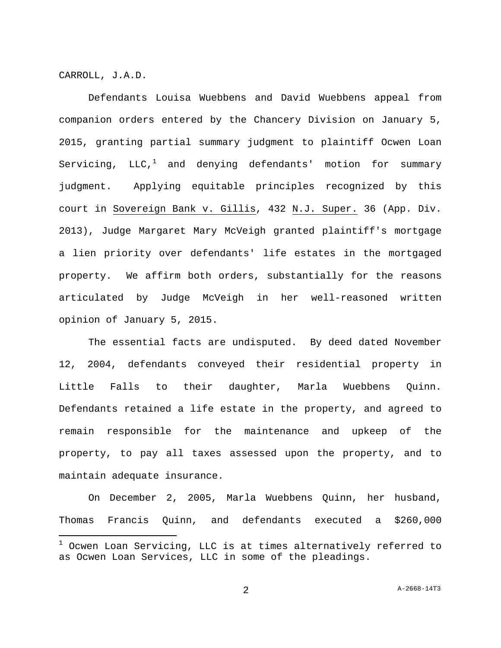CARROLL, J.A.D.

i

 Defendants Louisa Wuebbens and David Wuebbens appeal from companion orders entered by the Chancery Division on January 5, 2015, granting partial summary judgment to plaintiff Ocwen Loan Servicing, LLC, $^1$  and denying defendants' motion for summary judgment. Applying equitable principles recognized by this court in Sovereign Bank v. Gillis, 432 N.J. Super. 36 (App. Div. 2013), Judge Margaret Mary McVeigh granted plaintiff's mortgage a lien priority over defendants' life estates in the mortgaged property. We affirm both orders, substantially for the reasons articulated by Judge McVeigh in her well-reasoned written opinion of January 5, 2015.

 The essential facts are undisputed. By deed dated November 12, 2004, defendants conveyed their residential property in Little Falls to their daughter, Marla Wuebbens Quinn. Defendants retained a life estate in the property, and agreed to remain responsible for the maintenance and upkeep of the property, to pay all taxes assessed upon the property, and to maintain adequate insurance.

 On December 2, 2005, Marla Wuebbens Quinn, her husband, Thomas Francis Quinn, and defendants executed a \$260,000

 $^{\rm 1}$  Ocwen Loan Servicing, LLC is at times alternatively referred to as Ocwen Loan Services, LLC in some of the pleadings.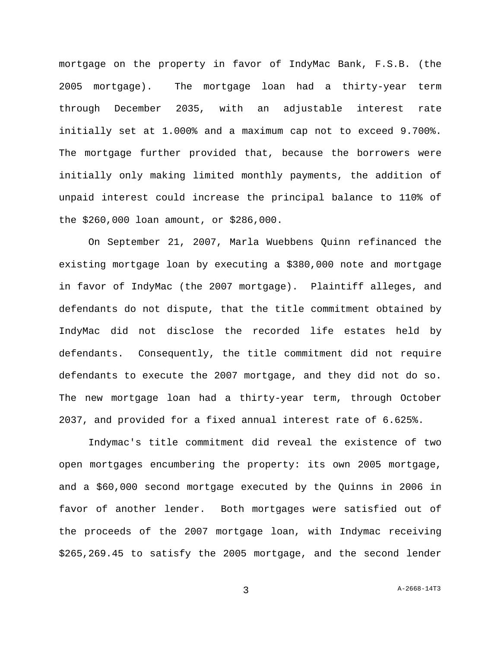mortgage on the property in favor of IndyMac Bank, F.S.B. (the 2005 mortgage). The mortgage loan had a thirty-year term through December 2035, with an adjustable interest rate initially set at 1.000% and a maximum cap not to exceed 9.700%. The mortgage further provided that, because the borrowers were initially only making limited monthly payments, the addition of unpaid interest could increase the principal balance to 110% of the \$260,000 loan amount, or \$286,000.

 On September 21, 2007, Marla Wuebbens Quinn refinanced the existing mortgage loan by executing a \$380,000 note and mortgage in favor of IndyMac (the 2007 mortgage). Plaintiff alleges, and defendants do not dispute, that the title commitment obtained by IndyMac did not disclose the recorded life estates held by defendants. Consequently, the title commitment did not require defendants to execute the 2007 mortgage, and they did not do so. The new mortgage loan had a thirty-year term, through October 2037, and provided for a fixed annual interest rate of 6.625%.

 Indymac's title commitment did reveal the existence of two open mortgages encumbering the property: its own 2005 mortgage, and a \$60,000 second mortgage executed by the Quinns in 2006 in favor of another lender. Both mortgages were satisfied out of the proceeds of the 2007 mortgage loan, with Indymac receiving \$265,269.45 to satisfy the 2005 mortgage, and the second lender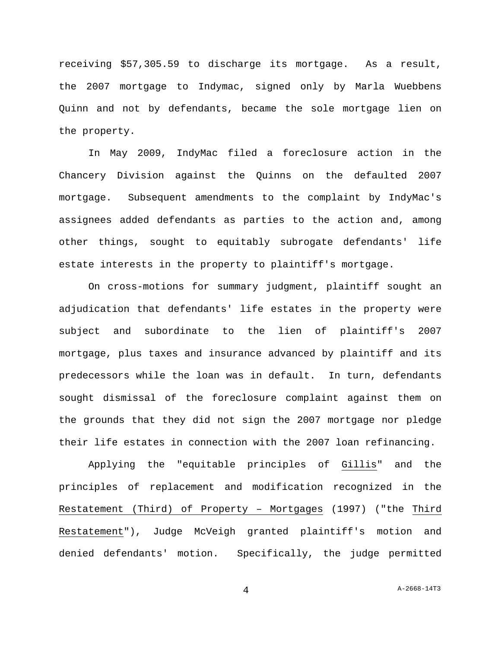receiving \$57,305.59 to discharge its mortgage. As a result, the 2007 mortgage to Indymac, signed only by Marla Wuebbens Quinn and not by defendants, became the sole mortgage lien on the property.

 In May 2009, IndyMac filed a foreclosure action in the Chancery Division against the Quinns on the defaulted 2007 mortgage. Subsequent amendments to the complaint by IndyMac's assignees added defendants as parties to the action and, among other things, sought to equitably subrogate defendants' life estate interests in the property to plaintiff's mortgage.

 On cross-motions for summary judgment, plaintiff sought an adjudication that defendants' life estates in the property were subject and subordinate to the lien of plaintiff's 2007 mortgage, plus taxes and insurance advanced by plaintiff and its predecessors while the loan was in default. In turn, defendants sought dismissal of the foreclosure complaint against them on the grounds that they did not sign the 2007 mortgage nor pledge their life estates in connection with the 2007 loan refinancing.

 Applying the "equitable principles of Gillis" and the principles of replacement and modification recognized in the Restatement (Third) of Property – Mortgages (1997) ("the Third Restatement"), Judge McVeigh granted plaintiff's motion and denied defendants' motion. Specifically, the judge permitted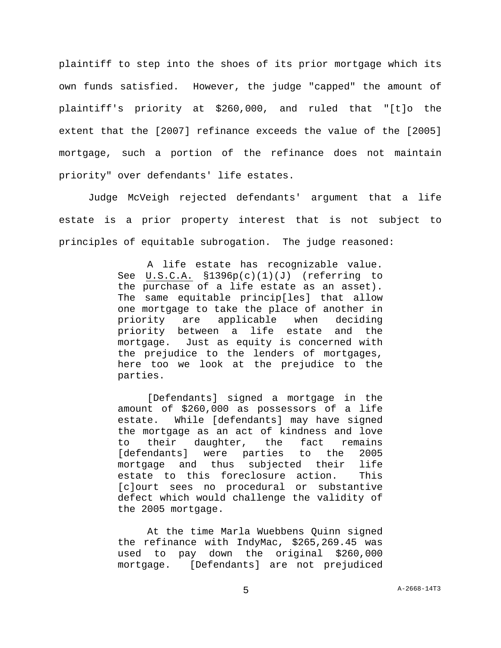plaintiff to step into the shoes of its prior mortgage which its own funds satisfied. However, the judge "capped" the amount of plaintiff's priority at \$260,000, and ruled that "[t]o the extent that the [2007] refinance exceeds the value of the [2005] mortgage, such a portion of the refinance does not maintain priority" over defendants' life estates.

 Judge McVeigh rejected defendants' argument that a life estate is a prior property interest that is not subject to principles of equitable subrogation. The judge reasoned:

> A life estate has recognizable value. See U.S.C.A. §1396p(c)(1)(J) (referring to the purchase of a life estate as an asset). The same equitable princip[les] that allow one mortgage to take the place of another in priority are applicable when deciding priority between a life estate and the mortgage. Just as equity is concerned with the prejudice to the lenders of mortgages, here too we look at the prejudice to the parties.

> [Defendants] signed a mortgage in the amount of \$260,000 as possessors of a life estate. While [defendants] may have signed the mortgage as an act of kindness and love to their daughter, the fact remains [defendants] were parties to the 2005 mortgage and thus subjected their life estate to this foreclosure action. This [c]ourt sees no procedural or substantive defect which would challenge the validity of the 2005 mortgage.

> At the time Marla Wuebbens Quinn signed the refinance with IndyMac, \$265,269.45 was used to pay down the original \$260,000 mortgage. [Defendants] are not prejudiced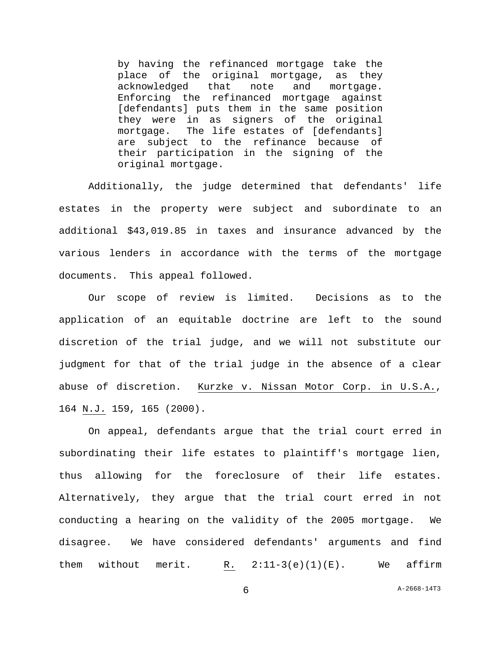by having the refinanced mortgage take the place of the original mortgage, as they acknowledged that note and mortgage. Enforcing the refinanced mortgage against [defendants] puts them in the same position they were in as signers of the original mortgage. The life estates of [defendants] are subject to the refinance because of their participation in the signing of the original mortgage.

 Additionally, the judge determined that defendants' life estates in the property were subject and subordinate to an additional \$43,019.85 in taxes and insurance advanced by the various lenders in accordance with the terms of the mortgage documents. This appeal followed.

 Our scope of review is limited. Decisions as to the application of an equitable doctrine are left to the sound discretion of the trial judge, and we will not substitute our judgment for that of the trial judge in the absence of a clear abuse of discretion. Kurzke v. Nissan Motor Corp. in U.S.A., 164 N.J. 159, 165 (2000).

 On appeal, defendants argue that the trial court erred in subordinating their life estates to plaintiff's mortgage lien, thus allowing for the foreclosure of their life estates. Alternatively, they argue that the trial court erred in not conducting a hearing on the validity of the 2005 mortgage. We disagree. We have considered defendants' arguments and find them without merit. R.  $2:11-3(e)(1)(E)$ . We affirm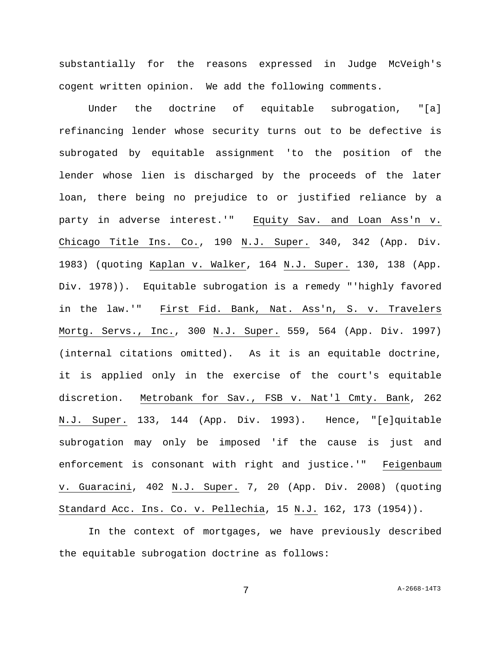substantially for the reasons expressed in Judge McVeigh's cogent written opinion. We add the following comments.

 Under the doctrine of equitable subrogation, "[a] refinancing lender whose security turns out to be defective is subrogated by equitable assignment 'to the position of the lender whose lien is discharged by the proceeds of the later loan, there being no prejudice to or justified reliance by a party in adverse interest.'" Equity Sav. and Loan Ass'n v. Chicago Title Ins. Co., 190 N.J. Super. 340, 342 (App. Div. 1983) (quoting Kaplan v. Walker, 164 N.J. Super. 130, 138 (App. Div. 1978)). Equitable subrogation is a remedy "'highly favored in the law.'" First Fid. Bank, Nat. Ass'n, S. v. Travelers Mortg. Servs., Inc., 300 N.J. Super. 559, 564 (App. Div. 1997) (internal citations omitted). As it is an equitable doctrine, it is applied only in the exercise of the court's equitable discretion. Metrobank for Sav., FSB v. Nat'l Cmty. Bank, 262 N.J. Super. 133, 144 (App. Div. 1993). Hence, "[e]quitable subrogation may only be imposed 'if the cause is just and enforcement is consonant with right and justice.'" Feigenbaum v. Guaracini, 402 N.J. Super. 7, 20 (App. Div. 2008) (quoting Standard Acc. Ins. Co. v. Pellechia, 15 N.J. 162, 173 (1954)).

 In the context of mortgages, we have previously described the equitable subrogation doctrine as follows:

7 A-2668-14T3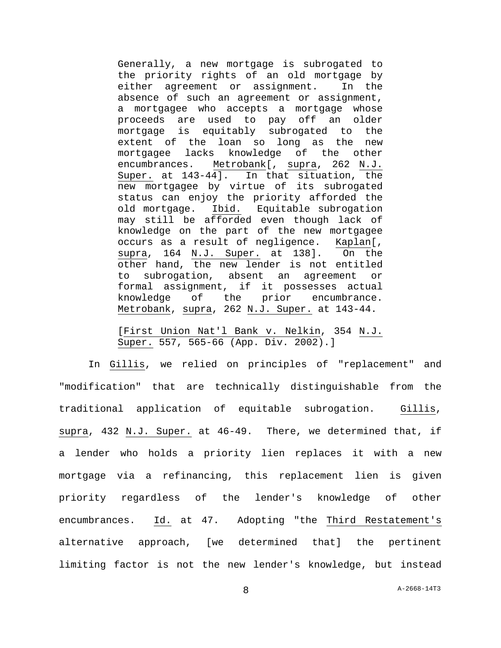Generally, a new mortgage is subrogated to the priority rights of an old mortgage by either agreement or assignment. In the absence of such an agreement or assignment, a mortgagee who accepts a mortgage whose proceeds are used to pay off an older mortgage is equitably subrogated to the extent of the loan so long as the new mortgagee lacks knowledge of the other encumbrances. Metrobank[, supra, 262 N.J. Super. at 143-44]. In that situation, the new mortgagee by virtue of its subrogated status can enjoy the priority afforded the old mortgage. Ibid. Equitable subrogation may still be afforded even though lack of knowledge on the part of the new mortgagee occurs as a result of negligence. Kaplan[, supra, 164 N.J. Super. at 138]. On the other hand, the new lender is not entitled to subrogation, absent an agreement or formal assignment, if it possesses actual knowledge of the prior encumbrance. Metrobank, supra, 262 N.J. Super. at 143-44.

[First Union Nat'l Bank v. Nelkin, 354 N.J. Super. 557, 565-66 (App. Div. 2002).]

 In Gillis, we relied on principles of "replacement" and "modification" that are technically distinguishable from the traditional application of equitable subrogation. Gillis, supra, 432 N.J. Super. at 46-49. There, we determined that, if a lender who holds a priority lien replaces it with a new mortgage via a refinancing, this replacement lien is given priority regardless of the lender's knowledge of other encumbrances. Id. at 47. Adopting "the Third Restatement's alternative approach, [we determined that] the pertinent limiting factor is not the new lender's knowledge, but instead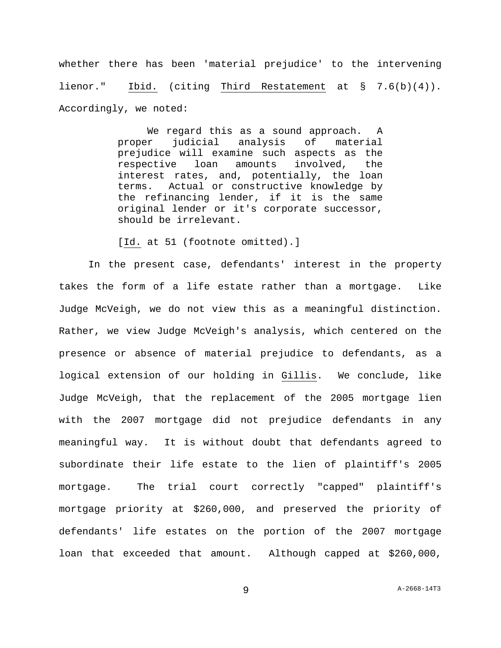whether there has been 'material prejudice' to the intervening lienor." Ibid. (citing Third Restatement at § 7.6(b)(4)). Accordingly, we noted:

> We regard this as a sound approach. A proper judicial analysis of material prejudice will examine such aspects as the respective loan amounts involved, the interest rates, and, potentially, the loan terms. Actual or constructive knowledge by the refinancing lender, if it is the same original lender or it's corporate successor, should be irrelevant.

[Id. at 51 (footnote omitted).]

 In the present case, defendants' interest in the property takes the form of a life estate rather than a mortgage. Like Judge McVeigh, we do not view this as a meaningful distinction. Rather, we view Judge McVeigh's analysis, which centered on the presence or absence of material prejudice to defendants, as a logical extension of our holding in Gillis. We conclude, like Judge McVeigh, that the replacement of the 2005 mortgage lien with the 2007 mortgage did not prejudice defendants in any meaningful way. It is without doubt that defendants agreed to subordinate their life estate to the lien of plaintiff's 2005 mortgage. The trial court correctly "capped" plaintiff's mortgage priority at \$260,000, and preserved the priority of defendants' life estates on the portion of the 2007 mortgage loan that exceeded that amount. Although capped at \$260,000,